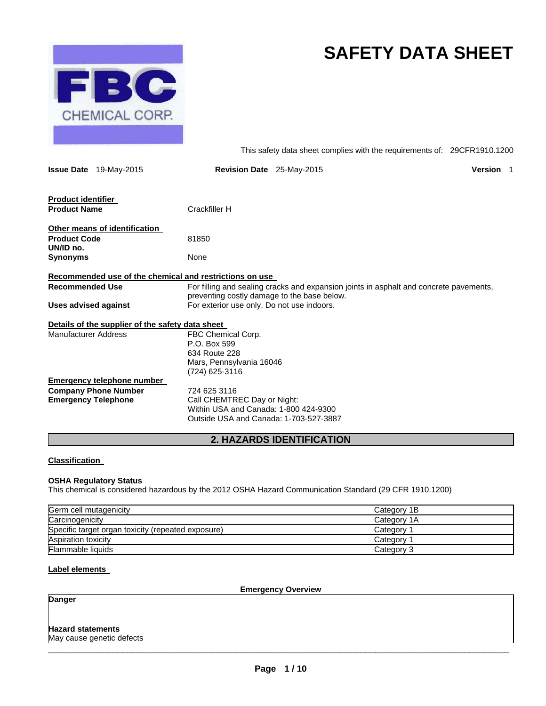

# **SAFETY DATA SHEET**

This safety data sheet complies with the requirements of: 29CFR1910.1200

|                                  | <b>Issue Date</b> 19-May-2015                    | <b>Revision Date</b> 25-May-2015                                                                                                      | <b>Version</b> 1 |  |
|----------------------------------|--------------------------------------------------|---------------------------------------------------------------------------------------------------------------------------------------|------------------|--|
| <b>Product identifier</b>        |                                                  |                                                                                                                                       |                  |  |
| <b>Product Name</b>              |                                                  | Crackfiller H                                                                                                                         |                  |  |
|                                  | Other means of identification                    |                                                                                                                                       |                  |  |
| <b>Product Code</b><br>UN/ID no. |                                                  | 81850                                                                                                                                 |                  |  |
| Synonyms                         |                                                  | None                                                                                                                                  |                  |  |
|                                  |                                                  | Recommended use of the chemical and restrictions on use                                                                               |                  |  |
| <b>Recommended Use</b>           |                                                  | For filling and sealing cracks and expansion joints in asphalt and concrete pavements,<br>preventing costly damage to the base below. |                  |  |
| <b>Uses advised against</b>      |                                                  | For exterior use only. Do not use indoors.                                                                                            |                  |  |
|                                  | Details of the supplier of the safety data sheet |                                                                                                                                       |                  |  |
| <b>Manufacturer Address</b>      |                                                  | FBC Chemical Corp.<br>P.O. Box 599<br>634 Route 228<br>Mars, Pennsylvania 16046<br>(724) 625-3116                                     |                  |  |
|                                  | <b>Emergency telephone number</b>                |                                                                                                                                       |                  |  |
| <b>Emergency Telephone</b>       | <b>Company Phone Number</b>                      | 724 625 3116<br>Call CHEMTREC Day or Night:<br>Within USA and Canada: 1-800 424-9300<br>Outside USA and Canada: 1-703-527-3887        |                  |  |

## **2. HAZARDS IDENTIFICATION**

## **Classification**

## **OSHA Regulatory Status**

This chemical is considered hazardous by the 2012 OSHA Hazard Communication Standard (29 CFR 1910.1200)

| Germ cell mutagenicity                             | Category 1B |
|----------------------------------------------------|-------------|
| Carcinogenicity                                    | Category 1A |
| Specific target organ toxicity (repeated exposure) | Category 1  |
| Aspiration toxicity                                | Category 1  |
| Flammable liquids                                  | Category 3  |

## **Label elements**

**Emergency Overview** 

## **Danger**

## **Hazard statements**

May cause genetic defects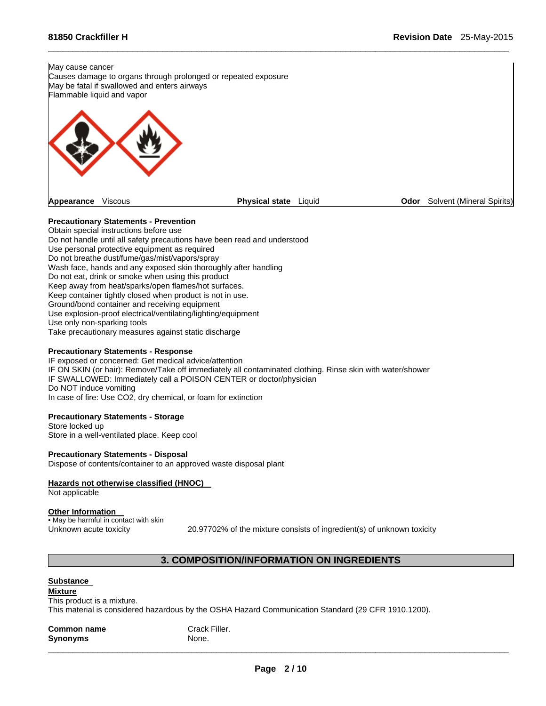May cause cancer Causes damage to organs through prolonged or repeated exposure May be fatal if swallowed and enters airways Flammable liquid and vapor



 $\Box$ 

## **Precautionary Statements - Prevention**

Obtain special instructions before use Do not handle until all safety precautions have been read and understood Use personal protective equipment as required Do not breathe dust/fume/gas/mist/vapors/spray Wash face, hands and any exposed skin thoroughly after handling Do not eat, drink or smoke when using this product Keep away from heat/sparks/open flames/hot surfaces. Keep container tightly closed when product is not in use. Ground/bond container and receiving equipment Use explosion-proof electrical/ventilating/lighting/equipment Use only non-sparking tools Take precautionary measures against static discharge

#### **Precautionary Statements - Response**

IF exposed or concerned: Get medical advice/attention IF ON SKIN (or hair): Remove/Take off immediately all contaminated clothing. Rinse skin with water/shower IF SWALLOWED: Immediately call a POISON CENTER or doctor/physician Do NOT induce vomiting In case of fire: Use CO2, dry chemical, or foam for extinction

## **Precautionary Statements - Storage**

Store locked up Store in a well-ventilated place. Keep cool

## **Precautionary Statements - Disposal**

Dispose of contents/container to an approved waste disposal plant

## **Hazards not otherwise classified (HNOC)**

Not applicable

#### **Other Information**

• May be harmful in contact with skin

Unknown acute toxicity 20.97702% of the mixture consists of ingredient(s) of unknown toxicity

## **3. COMPOSITION/INFORMATION ON INGREDIENTS**

## **Substance**

**Mixture**  This product is a mixture. This material is considered hazardous by the OSHA Hazard Communication Standard (29 CFR 1910.1200).

| <b>Common name</b> | Crack Filler. |
|--------------------|---------------|
| <b>Synonyms</b>    | None.         |
|                    |               |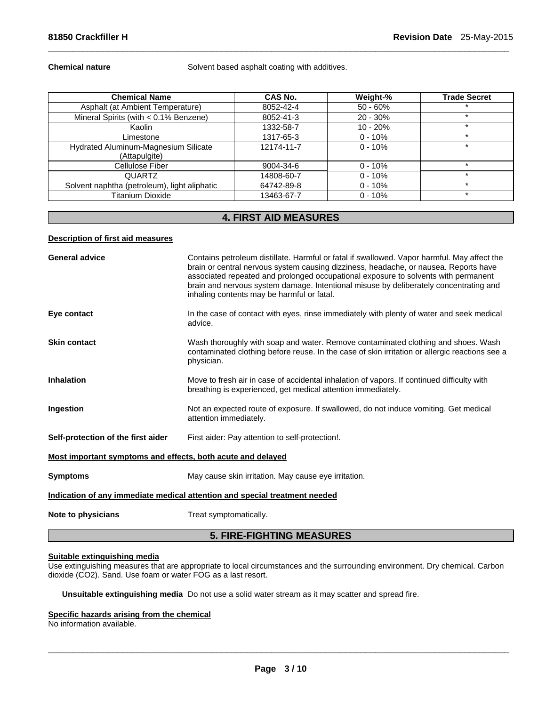**Chemical nature <b>Chemical nature** Solvent based asphalt coating with additives.

 $\Box$ 

| <b>Chemical Name</b>                                  | CAS No.    | Weight-%   | <b>Trade Secret</b> |
|-------------------------------------------------------|------------|------------|---------------------|
| Asphalt (at Ambient Temperature)                      | 8052-42-4  | $50 - 60%$ |                     |
| Mineral Spirits (with < 0.1% Benzene)                 | 8052-41-3  | $20 - 30%$ |                     |
| Kaolin                                                | 1332-58-7  | $10 - 20%$ | $\star$             |
| Limestone                                             | 1317-65-3  | $0 - 10%$  | $\star$             |
| Hydrated Aluminum-Magnesium Silicate<br>(Attapulgite) | 12174-11-7 | $0 - 10%$  | $\star$             |
| Cellulose Fiber                                       | 9004-34-6  | $0 - 10%$  |                     |
| <b>QUARTZ</b>                                         | 14808-60-7 | $0 - 10%$  | $\star$             |
| Solvent naphtha (petroleum), light aliphatic          | 64742-89-8 | $0 - 10%$  | $\star$             |
| <b>Titanium Dioxide</b>                               | 13463-67-7 | $0 - 10%$  |                     |

## **4. FIRST AID MEASURES**

## **Description of first aid measures**

| <b>General advice</b>                                                      | Contains petroleum distillate. Harmful or fatal if swallowed. Vapor harmful. May affect the<br>brain or central nervous system causing dizziness, headache, or nausea. Reports have                                       |  |  |
|----------------------------------------------------------------------------|---------------------------------------------------------------------------------------------------------------------------------------------------------------------------------------------------------------------------|--|--|
|                                                                            | associated repeated and prolonged occupational exposure to solvents with permanent<br>brain and nervous system damage. Intentional misuse by deliberately concentrating and<br>inhaling contents may be harmful or fatal. |  |  |
| Eye contact                                                                | In the case of contact with eyes, rinse immediately with plenty of water and seek medical<br>advice.                                                                                                                      |  |  |
| <b>Skin contact</b>                                                        | Wash thoroughly with soap and water. Remove contaminated clothing and shoes. Wash<br>contaminated clothing before reuse. In the case of skin irritation or allergic reactions see a<br>physician.                         |  |  |
| <b>Inhalation</b>                                                          | Move to fresh air in case of accidental inhalation of vapors. If continued difficulty with<br>breathing is experienced, get medical attention immediately.                                                                |  |  |
| Ingestion                                                                  | Not an expected route of exposure. If swallowed, do not induce vomiting. Get medical<br>attention immediately.                                                                                                            |  |  |
| Self-protection of the first aider                                         | First aider: Pay attention to self-protection!.                                                                                                                                                                           |  |  |
| Most important symptoms and effects, both acute and delayed                |                                                                                                                                                                                                                           |  |  |
| <b>Symptoms</b>                                                            | May cause skin irritation. May cause eye irritation.                                                                                                                                                                      |  |  |
| Indication of any immediate medical attention and special treatment needed |                                                                                                                                                                                                                           |  |  |
| Note to physicians                                                         | Treat symptomatically.                                                                                                                                                                                                    |  |  |
| <b>5. FIRE-FIGHTING MEASURES</b>                                           |                                                                                                                                                                                                                           |  |  |
|                                                                            |                                                                                                                                                                                                                           |  |  |

## **Suitable extinguishing media**

Use extinguishing measures that are appropriate to local circumstances and the surrounding environment. Dry chemical. Carbon dioxide (CO2). Sand. Use foam or water FOG as a last resort.

**Unsuitable extinguishing media** Do not use a solid water stream as it may scatter and spread fire.

## **Specific hazards arising from the chemical**

No information available.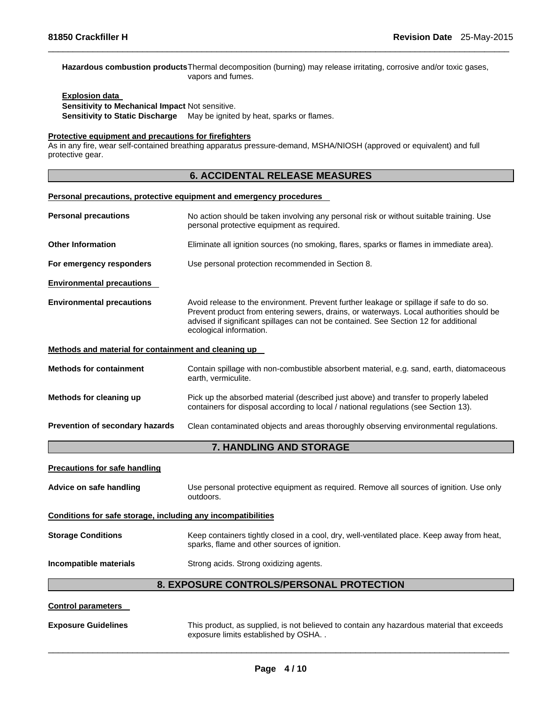#### **Hazardous combustion products** Thermal decomposition (burning) may release irritating, corrosive and/or toxic gases, vapors and fumes.

 $\Box$ 

## **Explosion data Sensitivity to Mechanical Impact** Not sensitive. **Sensitivity to Static Discharge** May be ignited by heat, sparks or flames.

#### **Protective equipment and precautions for firefighters**

As in any fire, wear self-contained breathing apparatus pressure-demand, MSHA/NIOSH (approved or equivalent) and full protective gear.

## **6. ACCIDENTAL RELEASE MEASURES**

#### **Personal precautions, protective equipment and emergency procedures**

| <b>Personal precautions</b>                                  | No action should be taken involving any personal risk or without suitable training. Use<br>personal protective equipment as required.                                                                                                                                                                 |  |
|--------------------------------------------------------------|-------------------------------------------------------------------------------------------------------------------------------------------------------------------------------------------------------------------------------------------------------------------------------------------------------|--|
| <b>Other Information</b>                                     | Eliminate all ignition sources (no smoking, flares, sparks or flames in immediate area).                                                                                                                                                                                                              |  |
| For emergency responders                                     | Use personal protection recommended in Section 8.                                                                                                                                                                                                                                                     |  |
| <b>Environmental precautions</b>                             |                                                                                                                                                                                                                                                                                                       |  |
| <b>Environmental precautions</b>                             | Avoid release to the environment. Prevent further leakage or spillage if safe to do so.<br>Prevent product from entering sewers, drains, or waterways. Local authorities should be<br>advised if significant spillages can not be contained. See Section 12 for additional<br>ecological information. |  |
| Methods and material for containment and cleaning up         |                                                                                                                                                                                                                                                                                                       |  |
| <b>Methods for containment</b>                               | Contain spillage with non-combustible absorbent material, e.g. sand, earth, diatomaceous<br>earth, vermiculite.                                                                                                                                                                                       |  |
| Methods for cleaning up                                      | Pick up the absorbed material (described just above) and transfer to properly labeled<br>containers for disposal according to local / national regulations (see Section 13).                                                                                                                          |  |
| Prevention of secondary hazards                              | Clean contaminated objects and areas thoroughly observing environmental regulations.                                                                                                                                                                                                                  |  |
|                                                              | 7. HANDLING AND STORAGE                                                                                                                                                                                                                                                                               |  |
| <b>Precautions for safe handling</b>                         |                                                                                                                                                                                                                                                                                                       |  |
| Advice on safe handling                                      | Use personal protective equipment as required. Remove all sources of ignition. Use only<br>outdoors.                                                                                                                                                                                                  |  |
| Conditions for safe storage, including any incompatibilities |                                                                                                                                                                                                                                                                                                       |  |
| <b>Storage Conditions</b>                                    | Keep containers tightly closed in a cool, dry, well-ventilated place. Keep away from heat,<br>sparks, flame and other sources of ignition.                                                                                                                                                            |  |
| Incompatible materials                                       | Strong acids. Strong oxidizing agents.                                                                                                                                                                                                                                                                |  |
|                                                              | 8. EXPOSURE CONTROLS/PERSONAL PROTECTION                                                                                                                                                                                                                                                              |  |
| <b>Control parameters</b>                                    |                                                                                                                                                                                                                                                                                                       |  |

**Exposure Guidelines** This product, as supplied, is not believed to contain any hazardous material that exceeds exposure limits established by OSHA. .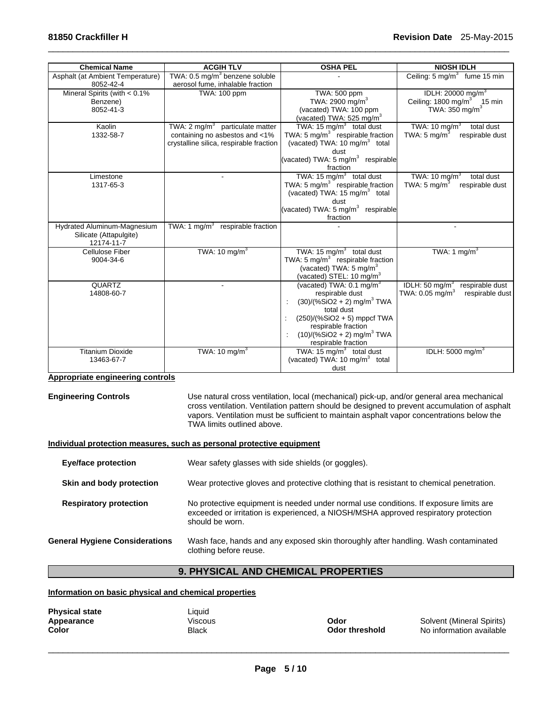| <b>Chemical Name</b>                                                | <b>ACGIH TLV</b>                                                                                                        | <b>OSHA PEL</b>                                                                                                                                                                                                                              | <b>NIOSH IDLH</b>                                                                                      |
|---------------------------------------------------------------------|-------------------------------------------------------------------------------------------------------------------------|----------------------------------------------------------------------------------------------------------------------------------------------------------------------------------------------------------------------------------------------|--------------------------------------------------------------------------------------------------------|
| Asphalt (at Ambient Temperature)<br>8052-42-4                       | TWA: 0.5 mg/m <sup>3</sup> benzene soluble<br>aerosol fume, inhalable fraction                                          |                                                                                                                                                                                                                                              | Ceiling: $5 \text{ mg/m}^3$ fume 15 min                                                                |
| Mineral Spirits (with $< 0.1\%$<br>Benzene)<br>8052-41-3            | TWA: 100 ppm                                                                                                            | TWA: 500 ppm<br>TWA: 2900 mg/m <sup>3</sup><br>(vacated) TWA: 100 ppm<br>(vacated) TWA: 525 mg/m <sup>3</sup>                                                                                                                                | IDLH: 20000 mg/m <sup>3</sup><br>Ceiling: $1800 \text{ mg/m}^3$ 15 min<br>TWA: $350$ mg/m <sup>3</sup> |
| Kaolin<br>1332-58-7                                                 | TWA: $2 \text{ mg/m}^3$ particulate matter<br>containing no asbestos and <1%<br>crystalline silica, respirable fraction | TWA: 15 mg/m <sup>3</sup> total dust<br>TWA: 5 $mg/m3$ respirable fraction<br>(vacated) TWA: 10 mg/m <sup>3</sup> total<br>dust<br>(vacated) TWA: 5 mg/m <sup>3</sup> respirable<br>fraction                                                 | TWA: $10 \text{ mg/m}^3$<br>total dust<br>TWA: 5 mg/m $3$<br>respirable dust                           |
| Limestone<br>1317-65-3                                              |                                                                                                                         | TWA: 15 $mg/m3$ total dust<br>TWA: 5 $mg/m3$ respirable fraction<br>(vacated) TWA: 15 mg/m <sup>3</sup> total<br>dust<br>(vacated) TWA: $5 \text{ mg/m}^3$ respirable<br>fraction                                                            | TWA: 10 mg/m <sup>3</sup><br>total dust<br>TWA: $5 \text{ mg/m}^3$<br>respirable dust                  |
| Hydrated Aluminum-Magnesium<br>Silicate (Attapulgite)<br>12174-11-7 | TWA: 1 mg/m $3$<br>respirable fraction                                                                                  |                                                                                                                                                                                                                                              |                                                                                                        |
| <b>Cellulose Fiber</b><br>9004-34-6                                 | TWA: $10 \text{ mg/m}^3$                                                                                                | TWA: 15 $mg/m3$ total dust<br>TWA: 5 mg/m $3$ respirable fraction<br>(vacated) TWA: 5 mg/m <sup>3</sup><br>(vacated) STEL: 10 mg/m <sup>3</sup>                                                                                              | TWA: 1 mg/m <sup>3</sup>                                                                               |
| <b>QUARTZ</b><br>14808-60-7                                         |                                                                                                                         | (vacated) TWA: $0.1 \text{ mg/m}^3$<br>respirable dust<br>$(30)/(%SiO2 + 2)$ mg/m <sup>3</sup> TWA<br>total dust<br>$(250)/(%SiO2 + 5)$ mppcf TWA<br>respirable fraction<br>$(10)/($ %SiO2 + 2) mg/m <sup>3</sup> TWA<br>respirable fraction | IDLH: $50 \text{ mg/m}^3$<br>respirable dust<br>TWA: 0.05 mg/m <sup>3</sup><br>respirable dust         |
| <b>Titanium Dioxide</b><br>13463-67-7                               | TWA: 10 mg/m <sup>3</sup>                                                                                               | TWA: $15 \text{ mg/m}^3$ total dust<br>(vacated) TWA: $10 \text{ mg/m}^3$ total<br>dust                                                                                                                                                      | IDLH: 5000 mg/m <sup>3</sup>                                                                           |

 $\Box$ 

## **Appropriate engineering controls**

**Engineering Controls** Use natural cross ventilation, local (mechanical) pick-up, and/or general area mechanical cross ventilation. Ventilation pattern should be designed to prevent accumulation of asphalt vapors. Ventilation must be sufficient to maintain asphalt vapor concentrations below the TWA limits outlined above.

## **Individual protection measures, such as personal protective equipment**

| <b>Eye/face protection</b>            | Wear safety glasses with side shields (or goggles).                                                                                                                                             |  |
|---------------------------------------|-------------------------------------------------------------------------------------------------------------------------------------------------------------------------------------------------|--|
| Skin and body protection              | Wear protective gloves and protective clothing that is resistant to chemical penetration.                                                                                                       |  |
| <b>Respiratory protection</b>         | No protective equipment is needed under normal use conditions. If exposure limits are<br>exceeded or irritation is experienced, a NIOSH/MSHA approved respiratory protection<br>should be worn. |  |
| <b>General Hygiene Considerations</b> | Wash face, hands and any exposed skin thoroughly after handling. Wash contaminated<br>clothing before reuse.                                                                                    |  |

## **9. PHYSICAL AND CHEMICAL PROPERTIES**

## **Information on basic physical and chemical properties**

| <b>Physical state</b> |  |
|-----------------------|--|
| Appearance            |  |
| Color                 |  |

Liquid<br>Viscous

Viscous **Color Constant Constant Color Color Appearance Color Appearance Color Appearance Color No information available<br>
<b>Odor threshold** No information available **Odor threshold No information available**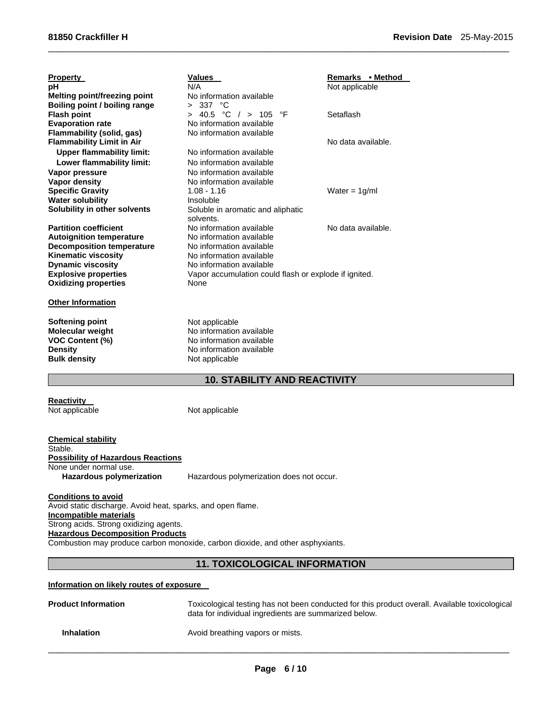| <b>Property</b><br>рH<br>Melting point/freezing point<br>Boiling point / boiling range | <b>Values</b><br>N/A<br>No information available<br>> 337 °C                      | Remarks • Method<br>Not applicable |
|----------------------------------------------------------------------------------------|-----------------------------------------------------------------------------------|------------------------------------|
| <b>Flash point</b><br><b>Evaporation rate</b>                                          | $> 40.5$ °C $/ > 105$<br>°F<br>No information available                           | Setaflash                          |
| <b>Flammability (solid, gas)</b><br><b>Flammability Limit in Air</b>                   | No information available                                                          | No data available.                 |
| <b>Upper flammability limit:</b><br>Lower flammability limit:                          | No information available<br>No information available                              |                                    |
| Vapor pressure<br>Vapor density                                                        | No information available<br>No information available                              |                                    |
| <b>Specific Gravity</b><br><b>Water solubility</b>                                     | $1.08 - 1.16$<br>Insoluble                                                        | Water = $1g/ml$                    |
| Solubility in other solvents                                                           | Soluble in aromatic and aliphatic<br>solvents.                                    |                                    |
| <b>Partition coefficient</b><br><b>Autoignition temperature</b>                        | No information available<br>No information available                              | No data available.                 |
| <b>Decomposition temperature</b><br><b>Kinematic viscosity</b>                         | No information available<br>No information available                              |                                    |
| <b>Dynamic viscosity</b><br><b>Explosive properties</b>                                | No information available<br>Vapor accumulation could flash or explode if ignited. |                                    |
| <b>Oxidizing properties</b>                                                            | None                                                                              |                                    |
| <b>Other Information</b>                                                               |                                                                                   |                                    |
| Softening point<br><b>Molecular weight</b>                                             | Not applicable<br>No information available                                        |                                    |
| <b>VOC Content (%)</b><br><b>Density</b>                                               | No information available<br>No information available                              |                                    |
| <b>Bulk density</b>                                                                    | Not applicable                                                                    |                                    |

## **10. STABILITY AND REACTIVITY**

 $\Box$ 

**Reactivity**<br>Not applicable

Not applicable

**Chemical stability**  Stable. **Possibility of Hazardous Reactions**  None under normal use.<br>Hazardous polymerization **Hazardous polymerization** Hazardous polymerization does not occur.

**Conditions to avoid**  Avoid static discharge. Avoid heat, sparks, and open flame. **Incompatible materials**  Strong acids. Strong oxidizing agents. **Hazardous Decomposition Products**  Combustion may produce carbon monoxide, carbon dioxide, and other asphyxiants.

## **11. TOXICOLOGICAL INFORMATION**

## **Information on likely routes of exposure**

| <b>Product Information</b> | Toxicological testing has not been conducted for this product overall. Available toxicological<br>data for individual ingredients are summarized below. |
|----------------------------|---------------------------------------------------------------------------------------------------------------------------------------------------------|
| <b>Inhalation</b>          | Avoid breathing vapors or mists.                                                                                                                        |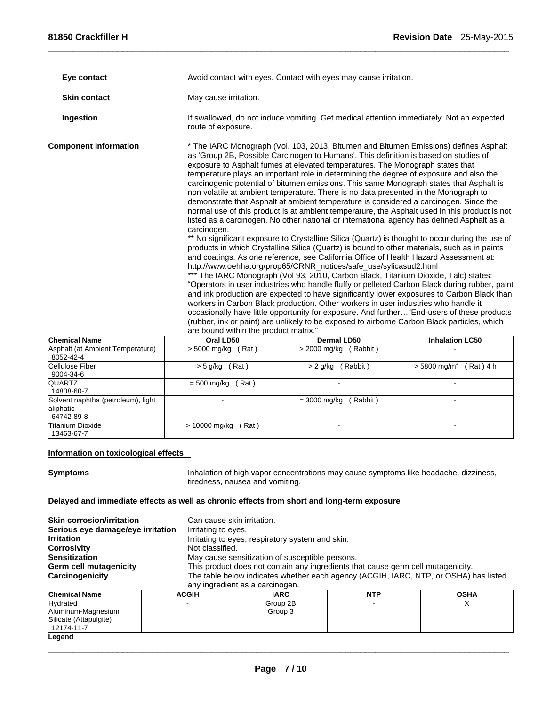| Eye contact                                                                                                                                                                                                                                                                                                                                                                                                                                                                                                                                                                                                                                                                                                                                                                                                                                                                                                                                                                                                                                                                                                                                                                                                                                                                                                                                                                                                                                                                                                                                                                                                                                                                                                                                                                                                                                                          |                       | Avoid contact with eyes. Contact with eyes may cause irritation.                         |                        |  |  |
|----------------------------------------------------------------------------------------------------------------------------------------------------------------------------------------------------------------------------------------------------------------------------------------------------------------------------------------------------------------------------------------------------------------------------------------------------------------------------------------------------------------------------------------------------------------------------------------------------------------------------------------------------------------------------------------------------------------------------------------------------------------------------------------------------------------------------------------------------------------------------------------------------------------------------------------------------------------------------------------------------------------------------------------------------------------------------------------------------------------------------------------------------------------------------------------------------------------------------------------------------------------------------------------------------------------------------------------------------------------------------------------------------------------------------------------------------------------------------------------------------------------------------------------------------------------------------------------------------------------------------------------------------------------------------------------------------------------------------------------------------------------------------------------------------------------------------------------------------------------------|-----------------------|------------------------------------------------------------------------------------------|------------------------|--|--|
| <b>Skin contact</b>                                                                                                                                                                                                                                                                                                                                                                                                                                                                                                                                                                                                                                                                                                                                                                                                                                                                                                                                                                                                                                                                                                                                                                                                                                                                                                                                                                                                                                                                                                                                                                                                                                                                                                                                                                                                                                                  | May cause irritation. |                                                                                          |                        |  |  |
| Ingestion                                                                                                                                                                                                                                                                                                                                                                                                                                                                                                                                                                                                                                                                                                                                                                                                                                                                                                                                                                                                                                                                                                                                                                                                                                                                                                                                                                                                                                                                                                                                                                                                                                                                                                                                                                                                                                                            | route of exposure.    | If swallowed, do not induce vomiting. Get medical attention immediately. Not an expected |                        |  |  |
| <b>Component Information</b><br>* The IARC Monograph (Vol. 103, 2013, Bitumen and Bitumen Emissions) defines Asphalt<br>as 'Group 2B, Possible Carcinogen to Humans'. This definition is based on studies of<br>exposure to Asphalt fumes at elevated temperatures. The Monograph states that<br>temperature plays an important role in determining the degree of exposure and also the<br>carcinogenic potential of bitumen emissions. This same Monograph states that Asphalt is<br>non volatile at ambient temperature. There is no data presented in the Monograph to<br>demonstrate that Asphalt at ambient temperature is considered a carcinogen. Since the<br>normal use of this product is at ambient temperature, the Asphalt used in this product is not<br>listed as a carcinogen. No other national or international agency has defined Asphalt as a<br>carcinogen.<br>** No significant exposure to Crystalline Silica (Quartz) is thought to occur during the use of<br>products in which Crystalline Silica (Quartz) is bound to other materials, such as in paints<br>and coatings. As one reference, see California Office of Health Hazard Assessment at:<br>http://www.oehha.org/prop65/CRNR_notices/safe_use/sylicasud2.html<br>*** The IARC Monograph (Vol 93, 2010, Carbon Black, Titanium Dioxide, Talc) states:<br>"Operators in user industries who handle fluffy or pelleted Carbon Black during rubber, paint<br>and ink production are expected to have significantly lower exposures to Carbon Black than<br>workers in Carbon Black production. Other workers in user industries who handle it<br>occasionally have little opportunity for exposure. And further "End-users of these products<br>(rubber, ink or paint) are unlikely to be exposed to airborne Carbon Black particles, which<br>are bound within the product matrix." |                       |                                                                                          |                        |  |  |
| <b>Chemical Name</b>                                                                                                                                                                                                                                                                                                                                                                                                                                                                                                                                                                                                                                                                                                                                                                                                                                                                                                                                                                                                                                                                                                                                                                                                                                                                                                                                                                                                                                                                                                                                                                                                                                                                                                                                                                                                                                                 | Oral LD50             | <b>Dermal LD50</b>                                                                       | <b>Inhalation LC50</b> |  |  |
| Asphalt (at Ambient Temperature)                                                                                                                                                                                                                                                                                                                                                                                                                                                                                                                                                                                                                                                                                                                                                                                                                                                                                                                                                                                                                                                                                                                                                                                                                                                                                                                                                                                                                                                                                                                                                                                                                                                                                                                                                                                                                                     | $>$ 5000 mg/kg (Rat)  | $>$ 2000 mg/kg (Rabbit)                                                                  |                        |  |  |
| 00E2A2A                                                                                                                                                                                                                                                                                                                                                                                                                                                                                                                                                                                                                                                                                                                                                                                                                                                                                                                                                                                                                                                                                                                                                                                                                                                                                                                                                                                                                                                                                                                                                                                                                                                                                                                                                                                                                                                              |                       |                                                                                          |                        |  |  |

 $\Box$ 

| IUIIGIIIIUAI INAIIIG                                          | UI AL LUJU             | DUITIGI LUJU              | <b>IIIIIAIAUVII LUJU</b>                |
|---------------------------------------------------------------|------------------------|---------------------------|-----------------------------------------|
| Asphalt (at Ambient Temperature)<br>8052-42-4                 | Rat)<br>> 5000 mg/kg   | Rabbit)<br>> 2000 mg/kg   |                                         |
| Cellulose Fiber<br>9004-34-6                                  | (Rat)<br>> 5 g/kg      | Rabbit)<br>$> 2$ g/kg     | Rat ) 4 h<br>$> 5800$ mg/m <sup>3</sup> |
| QUARTZ<br>14808-60-7                                          | Rat)<br>= 500 mg/kg    |                           | -                                       |
| Solvent naphtha (petroleum), light<br>aliphatic<br>64742-89-8 |                        | Rabbit)<br>$=$ 3000 mg/kg | -                                       |
| <b>Titanium Dioxide</b><br>13463-67-7                         | > 10000 mg/kg<br>(Rat) |                           |                                         |

## **Information on toxicological effects**

Silicate (Attapulgite) 12174-11-7

**Legend** 

**Symptoms** Inhalation of high vapor concentrations may cause symptoms like headache, dizziness, tiredness, nausea and vomiting.

## **Delayed and immediate effects as well as chronic effects from short and long-term exposure**

| <b>Skin corrosion/irritation</b><br>Serious eye damage/eye irritation<br><b>Irritation</b><br><b>Corrosivity</b><br><b>Sensitization</b><br><b>Germ cell mutagenicity</b><br>Carcinogenicity | Can cause skin irritation.<br>Irritating to eyes.<br>Not classified. | Irritating to eyes, respiratory system and skin.<br>May cause sensitization of susceptible persons.<br>This product does not contain any ingredients that cause germ cell mutagenicity. |            | The table below indicates whether each agency (ACGIH, IARC, NTP, or OSHA) has listed |  |  |  |
|----------------------------------------------------------------------------------------------------------------------------------------------------------------------------------------------|----------------------------------------------------------------------|-----------------------------------------------------------------------------------------------------------------------------------------------------------------------------------------|------------|--------------------------------------------------------------------------------------|--|--|--|
|                                                                                                                                                                                              |                                                                      | any ingredient as a carcinogen.                                                                                                                                                         |            |                                                                                      |  |  |  |
| <b>Chemical Name</b>                                                                                                                                                                         | <b>ACGIH</b>                                                         | <b>IARC</b>                                                                                                                                                                             | <b>NTP</b> | <b>OSHA</b>                                                                          |  |  |  |
| Hydrated                                                                                                                                                                                     |                                                                      | Group 2B                                                                                                                                                                                |            |                                                                                      |  |  |  |
| Aluminum-Magnesium                                                                                                                                                                           | Group 3                                                              |                                                                                                                                                                                         |            |                                                                                      |  |  |  |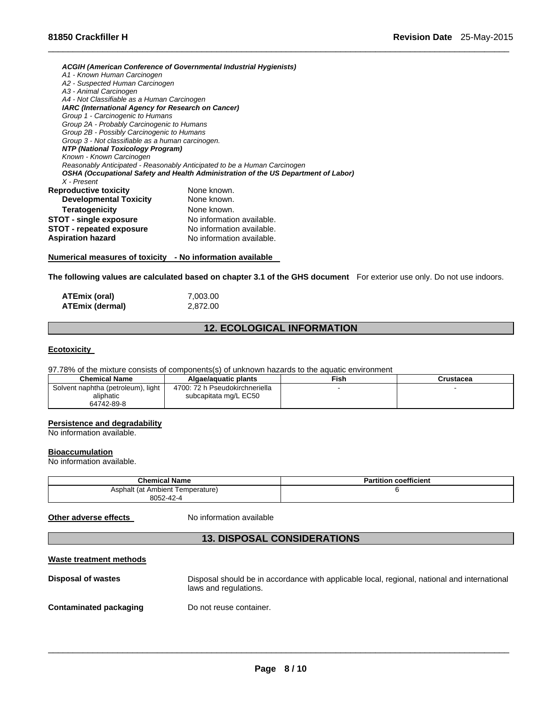*ACGIH (American Conference of Governmental Industrial Hygienists) A1 - Known Human Carcinogen A2 - Suspected Human Carcinogen A3 - Animal Carcinogen A4 - Not Classifiable as a Human Carcinogen IARC (International Agency for Research on Cancer) Group 1 - Carcinogenic to Humans Group 2A - Probably Carcinogenic to Humans Group 2B - Possibly Carcinogenic to Humans Group 3 - Not classifiable as a human carcinogen. NTP (National Toxicology Program) Known - Known Carcinogen Reasonably Anticipated - Reasonably Anticipated to be a Human Carcinogen OSHA (Occupational Safety and Health Administration of the US Department of Labor) X - Present*  **Reproductive toxicity None known. Developmental Toxicity** None known. **Teratogenicity None known. STOT - single exposure No information available. STOT - repeated exposure** No information available. **Aspiration hazard Molling Manufation available.** 

#### **Numerical measures of toxicity - No information available**

**The following values are calculated based on chapter 3.1 of the GHS document** For exterior use only. Do not use indoors.

 $\Box$ 

| ATEmix (oral)          | 7,003.00 |
|------------------------|----------|
| <b>ATEmix (dermal)</b> | 2,872.00 |

## **12. ECOLOGICAL INFORMATION**

#### **Ecotoxicity**

97.78% of the mixture consists of components(s) of unknown hazards to the aquatic environment

| <b>Chemical Name</b>               | Algae/aguatic plants           | Fish | Crustacea |
|------------------------------------|--------------------------------|------|-----------|
| Solvent naphtha (petroleum), light | 4700: 72 h Pseudokirchneriella |      |           |
| aliphatic                          | subcapitata mg/L EC50          |      |           |
| 64742-89-8                         |                                |      |           |

#### **Persistence and degradability**

No information available.

### **Bioaccumulation**

No information available.

| <b>Chemical Name</b>                | coefficient<br>$\cdot$<br>Partition |
|-------------------------------------|-------------------------------------|
| Asphalt (at Ambient<br>Temperature) |                                     |
| 8052-42-4                           |                                     |

**Other adverse effects** No information available

## **13. DISPOSAL CONSIDERATIONS**

| Waste treatment methods |                                                                                                                       |
|-------------------------|-----------------------------------------------------------------------------------------------------------------------|
| Disposal of wastes      | Disposal should be in accordance with applicable local, regional, national and international<br>laws and regulations. |
| Contaminated packaging  | Do not reuse container.                                                                                               |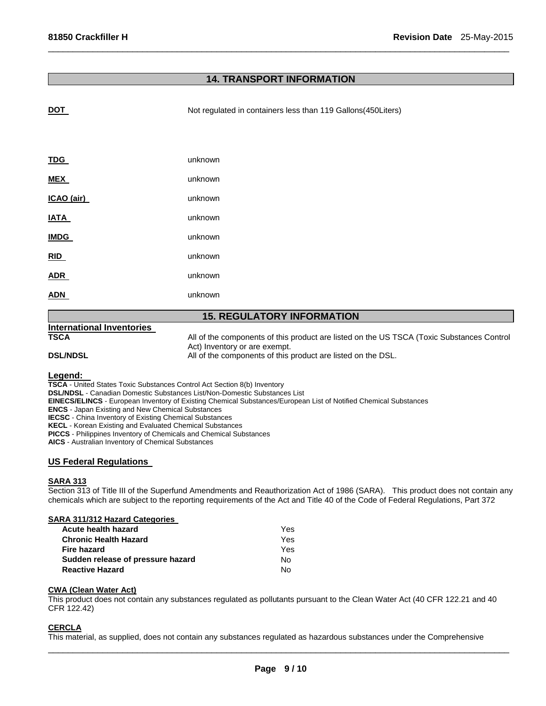## **14. TRANSPORT INFORMATION**

 $\Box$ 

| <u>DOT</u>                        | Not regulated in containers less than 119 Gallons(450Liters)                                                               |  |  |  |
|-----------------------------------|----------------------------------------------------------------------------------------------------------------------------|--|--|--|
|                                   |                                                                                                                            |  |  |  |
|                                   |                                                                                                                            |  |  |  |
| <b>TDG</b>                        | unknown                                                                                                                    |  |  |  |
| <b>MEX</b>                        | unknown                                                                                                                    |  |  |  |
| ICAO (air)                        | unknown                                                                                                                    |  |  |  |
| <b>IATA</b>                       | unknown                                                                                                                    |  |  |  |
| <b>IMDG</b>                       | unknown                                                                                                                    |  |  |  |
| RID                               | unknown                                                                                                                    |  |  |  |
| <b>ADR</b>                        | unknown                                                                                                                    |  |  |  |
| <b>ADN</b>                        | unknown                                                                                                                    |  |  |  |
| <b>15. REGULATORY INFORMATION</b> |                                                                                                                            |  |  |  |
| <b>International Inventories</b>  |                                                                                                                            |  |  |  |
| <b>TSCA</b>                       | All of the components of this product are listed on the US TSCA (Toxic Substances Control<br>Act) Inventory or are exempt. |  |  |  |
| <b>DSL/NDSL</b>                   | All of the components of this product are listed on the DSL.                                                               |  |  |  |

**Legend: TSCA** - United States Toxic Substances Control Act Section 8(b) Inventory

**DSL/NDSL** - Canadian Domestic Substances List/Non-Domestic Substances List

**EINECS/ELINCS** - European Inventory of Existing Chemical Substances/European List of Notified Chemical Substances

**ENCS** - Japan Existing and New Chemical Substances

**IECSC** - China Inventory of Existing Chemical Substances

**KECL** - Korean Existing and Evaluated Chemical Substances

**PICCS** - Philippines Inventory of Chemicals and Chemical Substances

**AICS** - Australian Inventory of Chemical Substances

## **US Federal Regulations**

#### **SARA 313**

Section 313 of Title III of the Superfund Amendments and Reauthorization Act of 1986 (SARA). This product does not contain any chemicals which are subject to the reporting requirements of the Act and Title 40 of the Code of Federal Regulations, Part 372

#### **SARA 311/312 Hazard Categories**

| Acute health hazard               | Yes. |
|-----------------------------------|------|
| <b>Chronic Health Hazard</b>      | Yes. |
| Fire hazard                       | Yes  |
| Sudden release of pressure hazard | No.  |
| <b>Reactive Hazard</b>            | N٥.  |

#### **CWA (Clean Water Act)**

This product does not contain any substances regulated as pollutants pursuant to the Clean Water Act (40 CFR 122.21 and 40 CFR 122.42)

## **CERCLA**

This material, as supplied, does not contain any substances regulated as hazardous substances under the Comprehensive